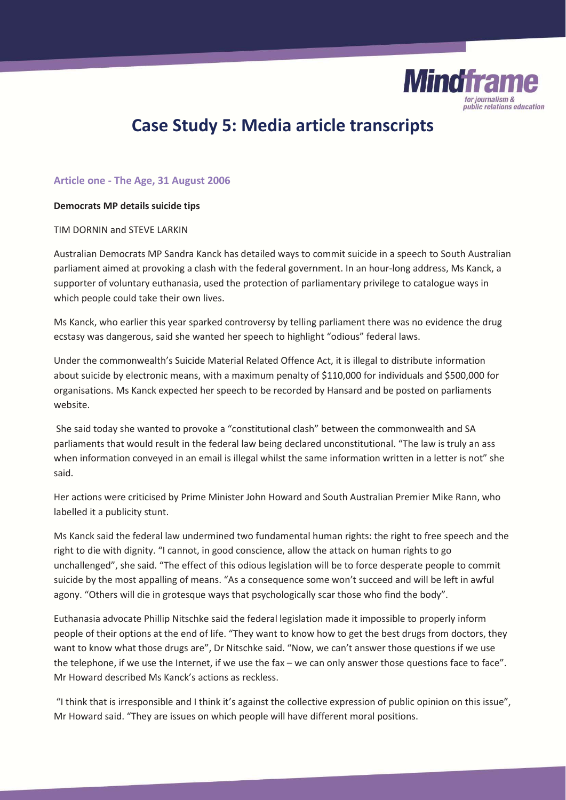

# **Case Study 5: Media article transcripts**

# **Article one - The Age, 31 August 2006**

#### **Democrats MP details suicide tips**

TIM DORNIN and STEVE LARKIN

Australian Democrats MP Sandra Kanck has detailed ways to commit suicide in a speech to South Australian parliament aimed at provoking a clash with the federal government. In an hour-long address, Ms Kanck, a supporter of voluntary euthanasia, used the protection of parliamentary privilege to catalogue ways in which people could take their own lives.

Ms Kanck, who earlier this year sparked controversy by telling parliament there was no evidence the drug ecstasy was dangerous, said she wanted her speech to highlight "odious" federal laws.

Under the commonwealth's Suicide Material Related Offence Act, it is illegal to distribute information about suicide by electronic means, with a maximum penalty of \$110,000 for individuals and \$500,000 for organisations. Ms Kanck expected her speech to be recorded by Hansard and be posted on parliaments website.

 She said today she wanted to provoke a "constitutional clash" between the commonwealth and SA parliaments that would result in the federal law being declared unconstitutional. "The law is truly an ass when information conveyed in an email is illegal whilst the same information written in a letter is not" she said.

Her actions were criticised by Prime Minister John Howard and South Australian Premier Mike Rann, who labelled it a publicity stunt.

Ms Kanck said the federal law undermined two fundamental human rights: the right to free speech and the right to die with dignity. "I cannot, in good conscience, allow the attack on human rights to go unchallenged", she said. "The effect of this odious legislation will be to force desperate people to commit suicide by the most appalling of means. "As a consequence some won't succeed and will be left in awful agony. "Others will die in grotesque ways that psychologically scar those who find the body".

Euthanasia advocate Phillip Nitschke said the federal legislation made it impossible to properly inform people of their options at the end of life. "They want to know how to get the best drugs from doctors, they want to know what those drugs are", Dr Nitschke said. "Now, we can't answer those questions if we use the telephone, if we use the Internet, if we use the fax – we can only answer those questions face to face". Mr Howard described Ms Kanck's actions as reckless.

 "I think that is irresponsible and I think it's against the collective expression of public opinion on this issue", Mr Howard said. "They are issues on which people will have different moral positions.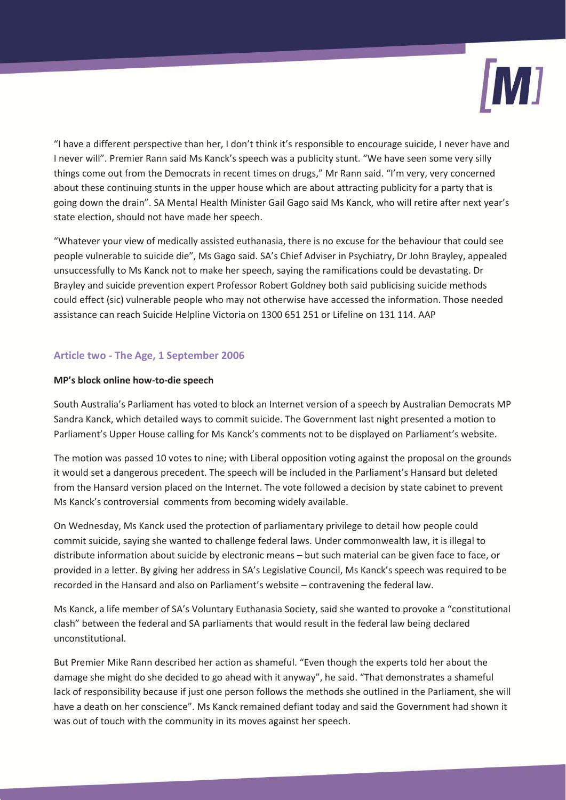

"I have a different perspective than her, I don't think it's responsible to encourage suicide, I never have and I never will". Premier Rann said Ms Kanck's speech was a publicity stunt. "We have seen some very silly things come out from the Democrats in recent times on drugs," Mr Rann said. "I'm very, very concerned about these continuing stunts in the upper house which are about attracting publicity for a party that is going down the drain". SA Mental Health Minister Gail Gago said Ms Kanck, who will retire after next year's state election, should not have made her speech.

"Whatever your view of medically assisted euthanasia, there is no excuse for the behaviour that could see people vulnerable to suicide die", Ms Gago said. SA's Chief Adviser in Psychiatry, Dr John Brayley, appealed unsuccessfully to Ms Kanck not to make her speech, saying the ramifications could be devastating. Dr Brayley and suicide prevention expert Professor Robert Goldney both said publicising suicide methods could effect (sic) vulnerable people who may not otherwise have accessed the information. Those needed assistance can reach Suicide Helpline Victoria on 1300 651 251 or Lifeline on 131 114. AAP

# **Article two - The Age, 1 September 2006**

# **MP's block online how-to-die speech**

South Australia's Parliament has voted to block an Internet version of a speech by Australian Democrats MP Sandra Kanck, which detailed ways to commit suicide. The Government last night presented a motion to Parliament's Upper House calling for Ms Kanck's comments not to be displayed on Parliament's website.

The motion was passed 10 votes to nine; with Liberal opposition voting against the proposal on the grounds it would set a dangerous precedent. The speech will be included in the Parliament's Hansard but deleted from the Hansard version placed on the Internet. The vote followed a decision by state cabinet to prevent Ms Kanck's controversial comments from becoming widely available.

On Wednesday, Ms Kanck used the protection of parliamentary privilege to detail how people could commit suicide, saying she wanted to challenge federal laws. Under commonwealth law, it is illegal to distribute information about suicide by electronic means – but such material can be given face to face, or provided in a letter. By giving her address in SA's Legislative Council, Ms Kanck's speech was required to be recorded in the Hansard and also on Parliament's website – contravening the federal law.

Ms Kanck, a life member of SA's Voluntary Euthanasia Society, said she wanted to provoke a "constitutional clash" between the federal and SA parliaments that would result in the federal law being declared unconstitutional.

But Premier Mike Rann described her action as shameful. "Even though the experts told her about the damage she might do she decided to go ahead with it anyway", he said. "That demonstrates a shameful lack of responsibility because if just one person follows the methods she outlined in the Parliament, she will have a death on her conscience". Ms Kanck remained defiant today and said the Government had shown it was out of touch with the community in its moves against her speech.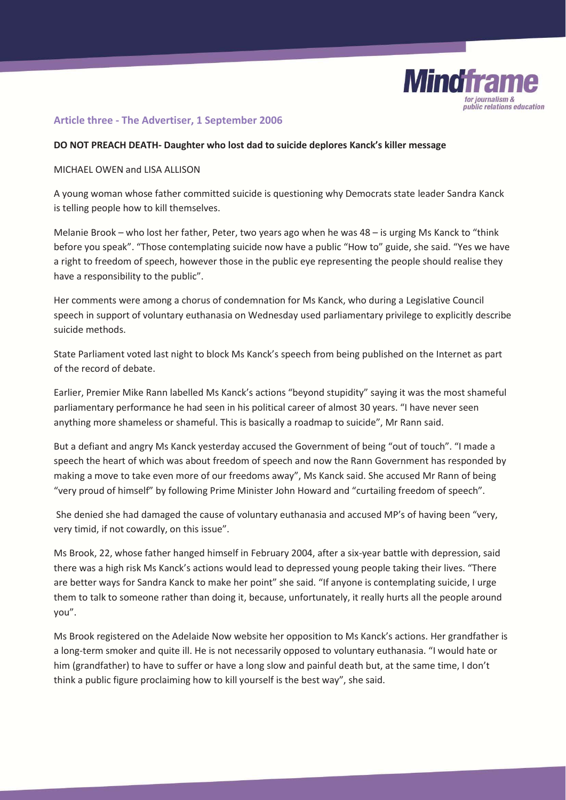

# **Article three - The Advertiser, 1 September 2006**

#### **DO NOT PREACH DEATH- Daughter who lost dad to suicide deplores Kanck's killer message**

#### MICHAEL OWEN and LISA ALLISON

A young woman whose father committed suicide is questioning why Democrats state leader Sandra Kanck is telling people how to kill themselves.

Melanie Brook – who lost her father, Peter, two years ago when he was 48 – is urging Ms Kanck to "think before you speak". "Those contemplating suicide now have a public "How to" guide, she said. "Yes we have a right to freedom of speech, however those in the public eye representing the people should realise they have a responsibility to the public".

Her comments were among a chorus of condemnation for Ms Kanck, who during a Legislative Council speech in support of voluntary euthanasia on Wednesday used parliamentary privilege to explicitly describe suicide methods.

State Parliament voted last night to block Ms Kanck's speech from being published on the Internet as part of the record of debate.

Earlier, Premier Mike Rann labelled Ms Kanck's actions "beyond stupidity" saying it was the most shameful parliamentary performance he had seen in his political career of almost 30 years. "I have never seen anything more shameless or shameful. This is basically a roadmap to suicide", Mr Rann said.

But a defiant and angry Ms Kanck yesterday accused the Government of being "out of touch". "I made a speech the heart of which was about freedom of speech and now the Rann Government has responded by making a move to take even more of our freedoms away", Ms Kanck said. She accused Mr Rann of being "very proud of himself" by following Prime Minister John Howard and "curtailing freedom of speech".

 She denied she had damaged the cause of voluntary euthanasia and accused MP's of having been "very, very timid, if not cowardly, on this issue".

Ms Brook, 22, whose father hanged himself in February 2004, after a six-year battle with depression, said there was a high risk Ms Kanck's actions would lead to depressed young people taking their lives. "There are better ways for Sandra Kanck to make her point" she said. "If anyone is contemplating suicide, I urge them to talk to someone rather than doing it, because, unfortunately, it really hurts all the people around you".

Ms Brook registered on the Adelaide Now website her opposition to Ms Kanck's actions. Her grandfather is a long-term smoker and quite ill. He is not necessarily opposed to voluntary euthanasia. "I would hate or him (grandfather) to have to suffer or have a long slow and painful death but, at the same time, I don't think a public figure proclaiming how to kill yourself is the best way", she said.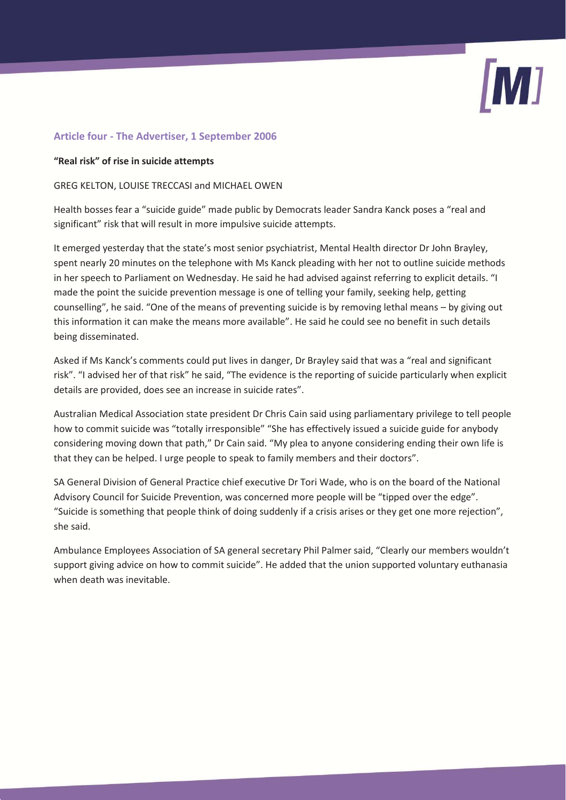# **Article four - The Advertiser, 1 September 2006**

## **"Real risk" of rise in suicide attempts**

## GREG KELTON, LOUISE TRECCASI and MICHAEL OWEN

Health bosses fear a "suicide guide" made public by Democrats leader Sandra Kanck poses a "real and significant" risk that will result in more impulsive suicide attempts.

It emerged yesterday that the state's most senior psychiatrist, Mental Health director Dr John Brayley, spent nearly 20 minutes on the telephone with Ms Kanck pleading with her not to outline suicide methods in her speech to Parliament on Wednesday. He said he had advised against referring to explicit details. "I made the point the suicide prevention message is one of telling your family, seeking help, getting counselling", he said. "One of the means of preventing suicide is by removing lethal means – by giving out this information it can make the means more available". He said he could see no benefit in such details being disseminated.

Asked if Ms Kanck's comments could put lives in danger, Dr Brayley said that was a "real and significant risk". "I advised her of that risk" he said, "The evidence is the reporting of suicide particularly when explicit details are provided, does see an increase in suicide rates".

Australian Medical Association state president Dr Chris Cain said using parliamentary privilege to tell people how to commit suicide was "totally irresponsible" "She has effectively issued a suicide guide for anybody considering moving down that path," Dr Cain said. "My plea to anyone considering ending their own life is that they can be helped. I urge people to speak to family members and their doctors".

SA General Division of General Practice chief executive Dr Tori Wade, who is on the board of the National Advisory Council for Suicide Prevention, was concerned more people will be "tipped over the edge". "Suicide is something that people think of doing suddenly if a crisis arises or they get one more rejection", she said.

Ambulance Employees Association of SA general secretary Phil Palmer said, "Clearly our members wouldn't support giving advice on how to commit suicide". He added that the union supported voluntary euthanasia when death was inevitable.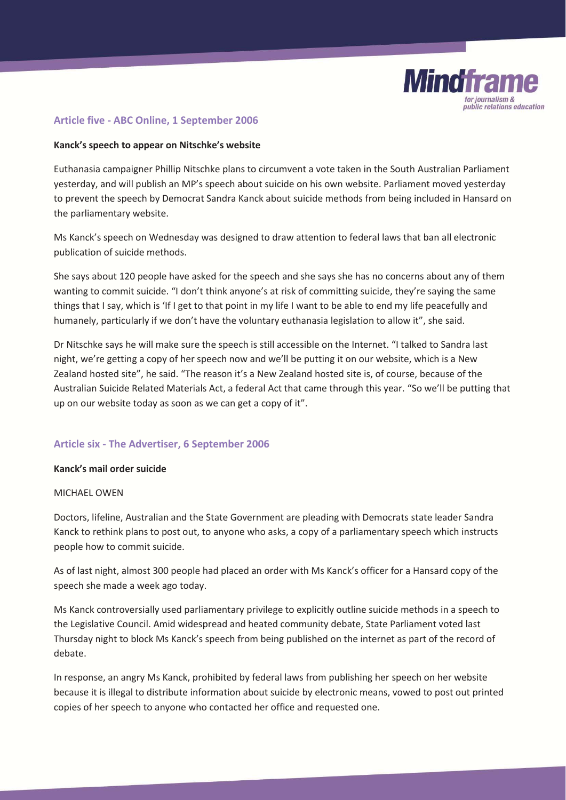

# **Article five - ABC Online, 1 September 2006**

## **Kanck's speech to appear on Nitschke's website**

Euthanasia campaigner Phillip Nitschke plans to circumvent a vote taken in the South Australian Parliament yesterday, and will publish an MP's speech about suicide on his own website. Parliament moved yesterday to prevent the speech by Democrat Sandra Kanck about suicide methods from being included in Hansard on the parliamentary website.

Ms Kanck's speech on Wednesday was designed to draw attention to federal laws that ban all electronic publication of suicide methods.

She says about 120 people have asked for the speech and she says she has no concerns about any of them wanting to commit suicide. "I don't think anyone's at risk of committing suicide, they're saying the same things that I say, which is 'If I get to that point in my life I want to be able to end my life peacefully and humanely, particularly if we don't have the voluntary euthanasia legislation to allow it", she said.

Dr Nitschke says he will make sure the speech is still accessible on the Internet. "I talked to Sandra last night, we're getting a copy of her speech now and we'll be putting it on our website, which is a New Zealand hosted site", he said. "The reason it's a New Zealand hosted site is, of course, because of the Australian Suicide Related Materials Act, a federal Act that came through this year. "So we'll be putting that up on our website today as soon as we can get a copy of it".

# **Article six - The Advertiser, 6 September 2006**

#### **Kanck's mail order suicide**

#### MICHAEL OWEN

Doctors, lifeline, Australian and the State Government are pleading with Democrats state leader Sandra Kanck to rethink plans to post out, to anyone who asks, a copy of a parliamentary speech which instructs people how to commit suicide.

As of last night, almost 300 people had placed an order with Ms Kanck's officer for a Hansard copy of the speech she made a week ago today.

Ms Kanck controversially used parliamentary privilege to explicitly outline suicide methods in a speech to the Legislative Council. Amid widespread and heated community debate, State Parliament voted last Thursday night to block Ms Kanck's speech from being published on the internet as part of the record of debate.

In response, an angry Ms Kanck, prohibited by federal laws from publishing her speech on her website because it is illegal to distribute information about suicide by electronic means, vowed to post out printed copies of her speech to anyone who contacted her office and requested one.